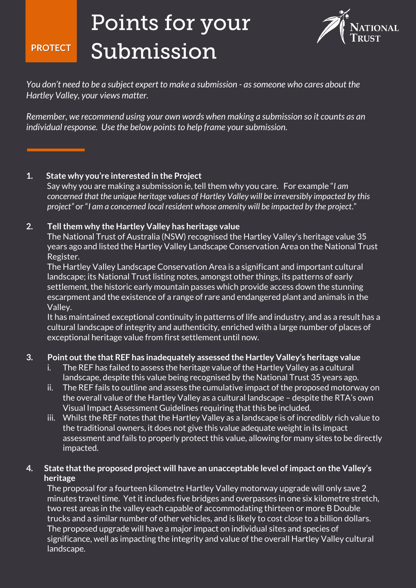## Points for your Submission **PROTECT**



*You don't need to be a subject expert to make a submission - as someone who cares about the Hartley Valley, your views matter.*

*Remember, we recommend using your own words when making a submission so it counts as an individual response. Use the below points to help frame your submission.* 

### **1. State why you're interested in the Project**

Say why you are making a submission ie, tell them why you care. For example "*I am concerned that the unique heritage values of Hartley Valley will be irreversibly impacted by this project"* or "*I am a concerned local resident whose amenity will be impacted by the project*."

#### **2. Tell them why the Hartley Valley has heritage value**

The National Trust of Australia (NSW) recognised the Hartley Valley's heritage value 35 years ago and listed the Hartley Valley Landscape Conservation Area on the National Trust Register.

The Hartley Valley Landscape Conservation Area is a significant and important cultural landscape; its National Trust listing notes, amongst other things, its patterns of early settlement, the historic early mountain passes which provide access down the stunning escarpment and the existence of a range of rare and endangered plant and animals in the Valley.

It has maintained exceptional continuity in patterns of life and industry, and as a result has a cultural landscape of integrity and authenticity, enriched with a large number of places of exceptional heritage value from first settlement until now.

#### **3. Point out the that REF has inadequately assessed the Hartley Valley's heritage value**

- i. The REF has failed to assess the heritage value of the Hartley Valley as a cultural landscape, despite this value being recognised by the National Trust 35 years ago.
- ii. The REF fails to outline and assess the cumulative impact of the proposed motorway on the overall value of the Hartley Valley as a cultural landscape – despite the RTA's own Visual Impact Assessment Guidelines requiring that this be included.
- iii. Whilst the REF notes that the Hartley Valley as a landscape is of incredibly rich value to the traditional owners, it does not give this value adequate weight in its impact assessment and fails to properly protect this value, allowing for many sites to be directly

#### impacted.

**4. State that the proposed project will have an unacceptable level of impact on the Valley's heritage**

The proposal for a fourteen kilometre Hartley Valley motorway upgrade will only save 2 minutes travel time. Yet it includes five bridges and overpasses in one six kilometre stretch, two rest areas in the valley each capable of accommodating thirteen or more B Double trucks and a similar number of other vehicles, and is likely to cost close to a billion dollars. The proposed upgrade will have a major impact on individual sites and species of significance, well as impacting the integrity and value of the overall Hartley Valley cultural landscape.